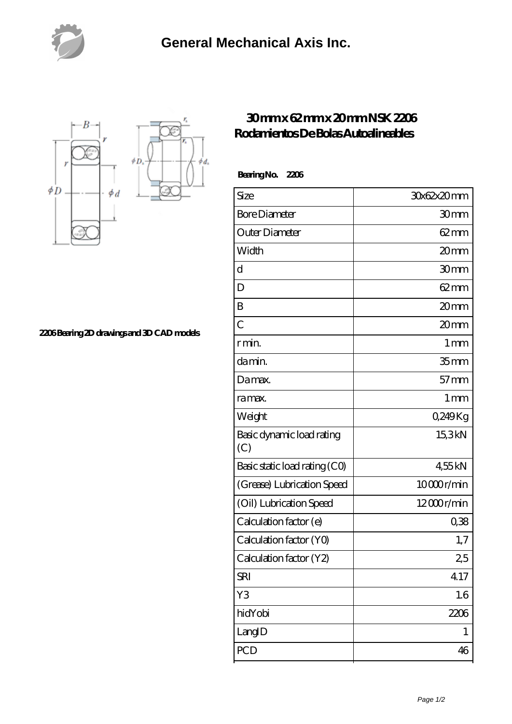



**[2206 Bearing 2D drawings and 3D CAD models](https://nfbxa.com/pic-64784982.html)**

## **[30 mm x 62 mm x 20 mm NSK 2206](https://nfbxa.com/aw-64784982-nsk-2206-rodamientos-de-bolas-autoalineables.html) [Rodamientos De Bolas Autoalineables](https://nfbxa.com/aw-64784982-nsk-2206-rodamientos-de-bolas-autoalineables.html)**

 **Bearing No. 2206**

| Size                             | 30x62x20mm        |
|----------------------------------|-------------------|
| <b>Bore Diameter</b>             | 30mm              |
| Outer Diameter                   | $62 \text{mm}$    |
| Width                            | 20mm              |
| d                                | 30mm              |
| D                                | $62 \text{mm}$    |
| B                                | 20mm              |
| $\overline{C}$                   | 20mm              |
| r min.                           | $1 \,\mathrm{mm}$ |
| damin.                           | 35 <sub>mm</sub>  |
| Damax.                           | $57$ mm           |
| ra max.                          | 1 <sub>mm</sub>   |
| Weight                           | 0,249Kg           |
| Basic dynamic load rating<br>(C) | 15,3kN            |
| Basic static load rating (CO)    | 455kN             |
| (Grease) Lubrication Speed       | 10000r/min        |
| (Oil) Lubrication Speed          | 12000r/min        |
| Calculation factor (e)           | 0,38              |
| Calculation factor (YO)          | 1,7               |
| Calculation factor (Y2)          | 25                |
| <b>SRI</b>                       | 4.17              |
| Y3                               | 1.6               |
| hidYobi                          | 2206              |
| LangID                           | 1                 |
| PCD                              | 46                |